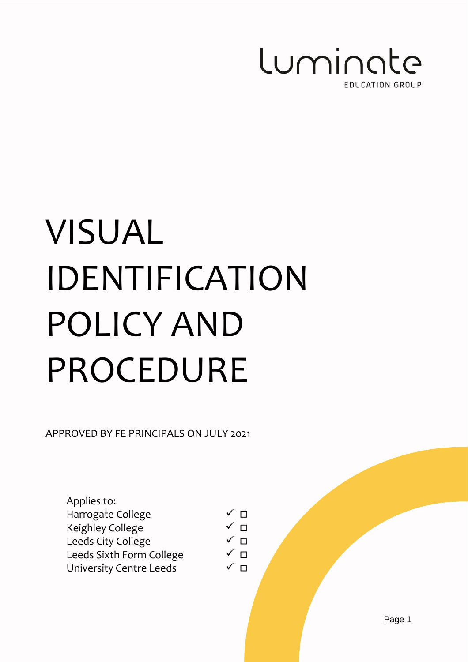

# VISUAL IDENTIFICATION POLICY AND PROCEDURE

APPROVED BY FE PRINCIPALS ON JULY 2021

Applies to: Harrogate College  $\checkmark$   $\Box$ Keighley College  $\checkmark$   $\Box$ Leeds City College  $\checkmark$   $\Box$ Leeds Sixth Form College  $\checkmark$   $\Box$ University Centre Leeds  $\checkmark$  □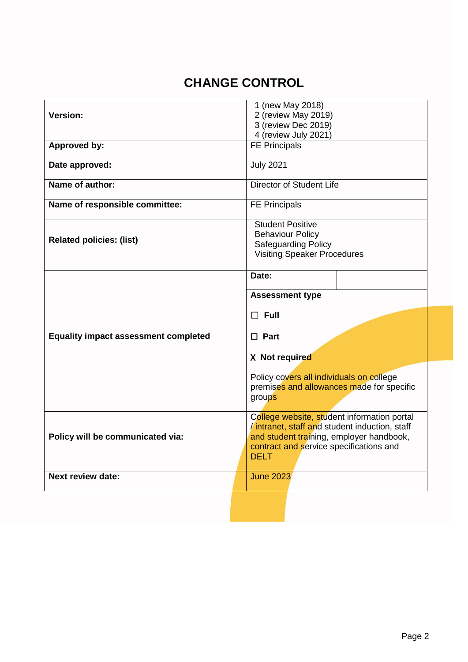# **CHANGE CONTROL**

| <b>Version:</b>                                                                                                                                           | 1 (new May 2018)<br>2 (review May 2019)<br>3 (review Dec 2019)                                                                                                                                      |  |
|-----------------------------------------------------------------------------------------------------------------------------------------------------------|-----------------------------------------------------------------------------------------------------------------------------------------------------------------------------------------------------|--|
| Approved by:                                                                                                                                              | 4 (review July 2021)<br><b>FE Principals</b>                                                                                                                                                        |  |
| Date approved:                                                                                                                                            | <b>July 2021</b>                                                                                                                                                                                    |  |
| Name of author:                                                                                                                                           | Director of Student Life                                                                                                                                                                            |  |
| Name of responsible committee:                                                                                                                            | <b>FE Principals</b>                                                                                                                                                                                |  |
| <b>Student Positive</b><br><b>Behaviour Policy</b><br><b>Related policies: (list)</b><br><b>Safeguarding Policy</b><br><b>Visiting Speaker Procedures</b> |                                                                                                                                                                                                     |  |
|                                                                                                                                                           | Date:<br><b>Assessment type</b>                                                                                                                                                                     |  |
| <b>Equality impact assessment completed</b>                                                                                                               | $\Box$ Full<br>$\Box$ Part                                                                                                                                                                          |  |
|                                                                                                                                                           | X Not required<br>Policy covers all individuals on college<br>premises and allowances made for specific<br>groups                                                                                   |  |
| Policy will be communicated via:                                                                                                                          | College website, student information portal<br>/ intranet, staff and student induction, staff<br>and student training, employer handbook,<br>contract and service specifications and<br><b>DELT</b> |  |
|                                                                                                                                                           |                                                                                                                                                                                                     |  |
| Next review date:                                                                                                                                         | <b>June 2023</b>                                                                                                                                                                                    |  |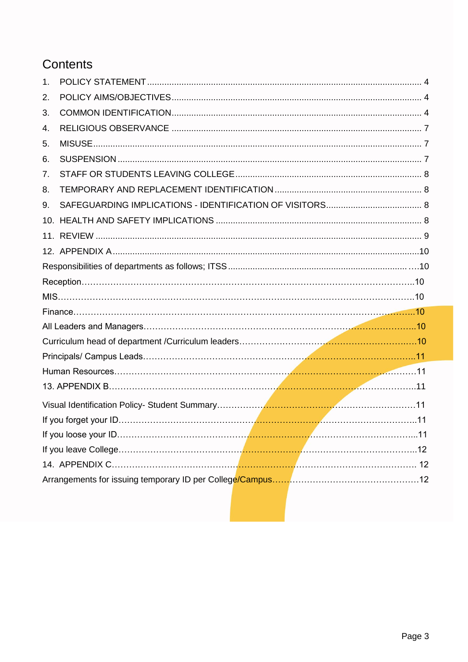# Contents

| 1 <sub>1</sub> |                                                                                                 |  |
|----------------|-------------------------------------------------------------------------------------------------|--|
| 2.             |                                                                                                 |  |
| 3.             |                                                                                                 |  |
| 4.             |                                                                                                 |  |
| 5.             |                                                                                                 |  |
| 6.             |                                                                                                 |  |
| 7.             |                                                                                                 |  |
| 8.             |                                                                                                 |  |
| 9.             |                                                                                                 |  |
| 10.            |                                                                                                 |  |
|                |                                                                                                 |  |
|                |                                                                                                 |  |
|                |                                                                                                 |  |
|                |                                                                                                 |  |
|                |                                                                                                 |  |
|                |                                                                                                 |  |
|                |                                                                                                 |  |
|                |                                                                                                 |  |
|                |                                                                                                 |  |
|                |                                                                                                 |  |
|                |                                                                                                 |  |
|                |                                                                                                 |  |
|                |                                                                                                 |  |
|                | the contract of the contract of the contract of the contract of the contract of the contract of |  |
|                |                                                                                                 |  |
|                |                                                                                                 |  |
|                |                                                                                                 |  |
|                |                                                                                                 |  |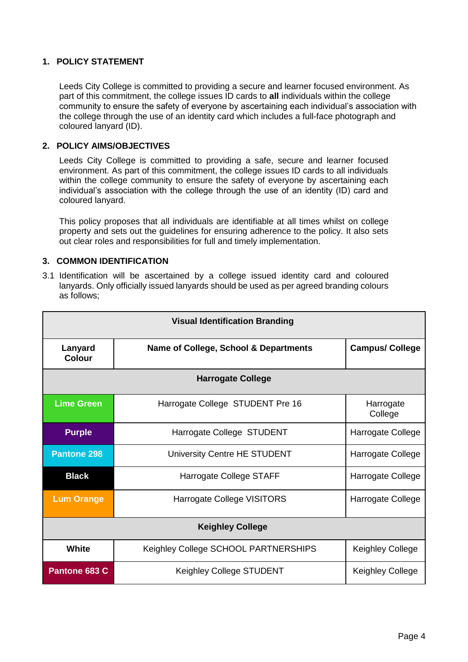# <span id="page-3-0"></span>**1. POLICY STATEMENT**

Leeds City College is committed to providing a secure and learner focused environment. As part of this commitment, the college issues ID cards to **all** individuals within the college community to ensure the safety of everyone by ascertaining each individual's association with the college through the use of an identity card which includes a full-face photograph and coloured lanyard (ID).

## <span id="page-3-1"></span>**2. POLICY AIMS/OBJECTIVES**

Leeds City College is committed to providing a safe, secure and learner focused environment. As part of this commitment, the college issues ID cards to all individuals within the college community to ensure the safety of everyone by ascertaining each individual's association with the college through the use of an identity (ID) card and coloured lanyard.

This policy proposes that all individuals are identifiable at all times whilst on college property and sets out the guidelines for ensuring adherence to the policy. It also sets out clear roles and responsibilities for full and timely implementation.

# <span id="page-3-2"></span>**3. COMMON IDENTIFICATION**

3.1 Identification will be ascertained by a college issued identity card and coloured lanyards. Only officially issued lanyards should be used as per agreed branding colours as follows;

| <b>Visual Identification Branding</b>           |                                                  |                        |  |
|-------------------------------------------------|--------------------------------------------------|------------------------|--|
| Lanyard<br>Colour                               | <b>Name of College, School &amp; Departments</b> | <b>Campus/ College</b> |  |
| <b>Harrogate College</b>                        |                                                  |                        |  |
| <b>Lime Green</b>                               | Harrogate College STUDENT Pre 16                 | Harrogate<br>College   |  |
| <b>Purple</b>                                   | Harrogate College STUDENT                        | Harrogate College      |  |
| <b>Pantone 298</b>                              | University Centre HE STUDENT                     | Harrogate College      |  |
| <b>Black</b><br>Harrogate College STAFF         |                                                  | Harrogate College      |  |
| <b>Lum Orange</b><br>Harrogate College VISITORS |                                                  | Harrogate College      |  |
| <b>Keighley College</b>                         |                                                  |                        |  |
| White                                           | Keighley College SCHOOL PARTNERSHIPS             | Keighley College       |  |
| Pantone 683 C<br>Keighley College STUDENT       |                                                  | Keighley College       |  |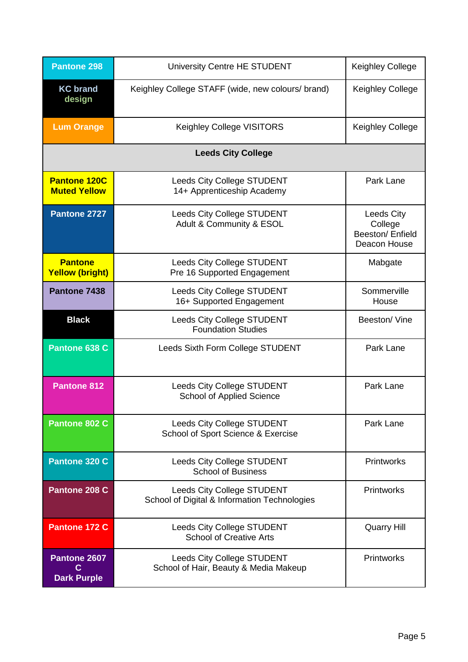| <b>Pantone 298</b>                                                                       | University Centre HE STUDENT                                                                    | <b>Keighley College</b>                                         |
|------------------------------------------------------------------------------------------|-------------------------------------------------------------------------------------------------|-----------------------------------------------------------------|
| <b>KC brand</b><br>design                                                                | Keighley College STAFF (wide, new colours/ brand)                                               |                                                                 |
| <b>Lum Orange</b>                                                                        | Keighley College VISITORS                                                                       | Keighley College                                                |
|                                                                                          | <b>Leeds City College</b>                                                                       |                                                                 |
| <b>Pantone 120C</b><br><b>Muted Yellow</b>                                               | <b>Leeds City College STUDENT</b><br>14+ Apprenticeship Academy                                 | Park Lane                                                       |
| Pantone 2727                                                                             | <b>Leeds City College STUDENT</b><br>Adult & Community & ESOL                                   | <b>Leeds City</b><br>College<br>Beeston/Enfield<br>Deacon House |
| <b>Pantone</b><br><b>Yellow (bright)</b>                                                 | Leeds City College STUDENT<br>Pre 16 Supported Engagement                                       | Mabgate                                                         |
| Pantone 7438                                                                             | <b>Leeds City College STUDENT</b><br>16+ Supported Engagement                                   | Sommerville<br>House                                            |
| <b>Black</b>                                                                             | <b>Leeds City College STUDENT</b><br><b>Foundation Studies</b>                                  | Beeston/Vine                                                    |
| Pantone 638 C                                                                            | Park Lane<br>Leeds Sixth Form College STUDENT                                                   |                                                                 |
| <b>Pantone 812</b>                                                                       | <b>Leeds City College STUDENT</b><br>Park Lane<br><b>School of Applied Science</b>              |                                                                 |
| Pantone 802 C<br><b>Leeds City College STUDENT</b><br>School of Sport Science & Exercise |                                                                                                 | Park Lane                                                       |
| Pantone 320 C                                                                            | <b>Leeds City College STUDENT</b><br><b>School of Business</b>                                  | <b>Printworks</b>                                               |
| Pantone 208 C                                                                            | Leeds City College STUDENT<br><b>Printworks</b><br>School of Digital & Information Technologies |                                                                 |
| Pantone 172 C                                                                            | <b>Leeds City College STUDENT</b><br><b>School of Creative Arts</b>                             | <b>Quarry Hill</b>                                              |
| Pantone 2607<br><b>Dark Purple</b>                                                       | <b>Leeds City College STUDENT</b><br>School of Hair, Beauty & Media Makeup                      | <b>Printworks</b>                                               |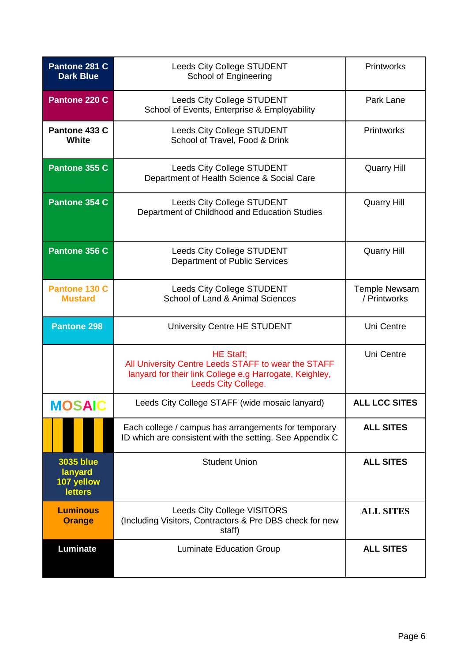| Pantone 281 C<br><b>Dark Blue</b>                                                                   | <b>Leeds City College STUDENT</b><br>School of Engineering                                                                                                 | <b>Printworks</b>                    |
|-----------------------------------------------------------------------------------------------------|------------------------------------------------------------------------------------------------------------------------------------------------------------|--------------------------------------|
| Pantone 220 C<br><b>Leeds City College STUDENT</b><br>School of Events, Enterprise & Employability  |                                                                                                                                                            | Park Lane                            |
| Pantone 433 C<br><b>White</b>                                                                       | <b>Leeds City College STUDENT</b><br>School of Travel, Food & Drink                                                                                        |                                      |
| Pantone 355 C                                                                                       | <b>Leeds City College STUDENT</b><br>Department of Health Science & Social Care                                                                            |                                      |
| Pantone 354 C<br><b>Leeds City College STUDENT</b><br>Department of Childhood and Education Studies |                                                                                                                                                            | <b>Quarry Hill</b>                   |
| Pantone 356 C<br><b>Leeds City College STUDENT</b><br>Department of Public Services                 |                                                                                                                                                            | <b>Quarry Hill</b>                   |
| Pantone 130 C<br><b>Mustard</b>                                                                     | <b>Leeds City College STUDENT</b><br>School of Land & Animal Sciences                                                                                      | <b>Temple Newsam</b><br>/ Printworks |
| Pantone 298                                                                                         | University Centre HE STUDENT                                                                                                                               | Uni Centre                           |
|                                                                                                     | <b>HE Staff</b> ;<br>All University Centre Leeds STAFF to wear the STAFF<br>lanyard for their link College e.g Harrogate, Keighley,<br>Leeds City College. | Uni Centre                           |
| MOSA                                                                                                | Leeds City College STAFF (wide mosaic lanyard)                                                                                                             | <b>ALL LCC SITES</b>                 |
|                                                                                                     | Each college / campus has arrangements for temporary<br>ID which are consistent with the setting. See Appendix C                                           | <b>ALL SITES</b>                     |
| <b>3035 blue</b><br>lanyard<br>107 yellow<br><b>letters</b>                                         | <b>Student Union</b>                                                                                                                                       |                                      |
| <b>Luminous</b><br><b>Orange</b>                                                                    | <b>Leeds City College VISITORS</b><br>(Including Visitors, Contractors & Pre DBS check for new<br>staff)                                                   |                                      |
| <b>Luminate</b>                                                                                     | <b>Luminate Education Group</b>                                                                                                                            | <b>ALL SITES</b>                     |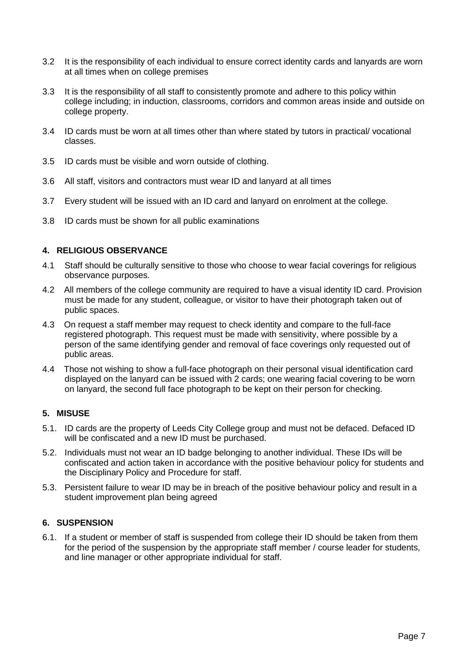- 3.2 It is the responsibility of each individual to ensure correct identity cards and lanyards are worn at all times when on college premises
- 3.3 It is the responsibility of all staff to consistently promote and adhere to this policy within college including; in induction, classrooms, corridors and common areas inside and outside on college property.
- 3.4 ID cards must be worn at all times other than where stated by tutors in practical/ vocational classes.
- 3.5 ID cards must be visible and worn outside of clothing.
- 3.6 All staff, visitors and contractors must wear ID and lanyard at all times
- 3.7 Every student will be issued with an ID card and lanyard on enrolment at the college.
- 3.8 ID cards must be shown for all public examinations

#### <span id="page-6-0"></span>**4. RELIGIOUS OBSERVANCE**

- 4.1 Staff should be culturally sensitive to those who choose to wear facial coverings for religious observance purposes.
- 4.2 All members of the college community are required to have a visual identity ID card. Provision must be made for any student, colleague, or visitor to have their photograph taken out of public spaces.
- 4.3 On request a staff member may request to check identity and compare to the full-face registered photograph. This request must be made with sensitivity, where possible by a person of the same identifying gender and removal of face coverings only requested out of public areas.
- 4.4 Those not wishing to show a full-face photograph on their personal visual identification card displayed on the lanyard can be issued with 2 cards; one wearing facial covering to be worn on lanyard, the second full face photograph to be kept on their person for checking.

#### <span id="page-6-1"></span>**5. MISUSE**

- 5.1. ID cards are the property of Leeds City College group and must not be defaced. Defaced ID will be confiscated and a new ID must be purchased.
- 5.2. Individuals must not wear an ID badge belonging to another individual. These IDs will be confiscated and action taken in accordance with the positive behaviour policy for students and the Disciplinary Policy and Procedure for staff.
- 5.3. Persistent failure to wear ID may be in breach of the positive behaviour policy and result in a student improvement plan being agreed

#### <span id="page-6-2"></span>**6. SUSPENSION**

6.1. If a student or member of staff is suspended from college their ID should be taken from them for the period of the suspension by the appropriate staff member / course leader for students, and line manager or other appropriate individual for staff.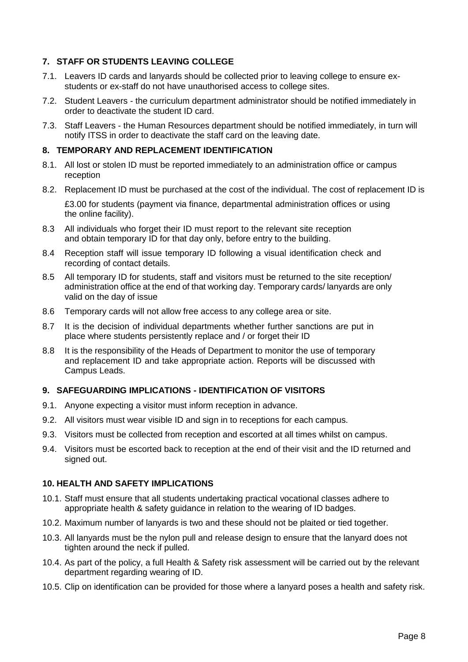# <span id="page-7-0"></span>**7. STAFF OR STUDENTS LEAVING COLLEGE**

- 7.1. Leavers ID cards and lanyards should be collected prior to leaving college to ensure exstudents or ex-staff do not have unauthorised access to college sites.
- 7.2. Student Leavers the curriculum department administrator should be notified immediately in order to deactivate the student ID card.
- 7.3. Staff Leavers the Human Resources department should be notified immediately, in turn will notify ITSS in order to deactivate the staff card on the leaving date.

# <span id="page-7-1"></span>**8. TEMPORARY AND REPLACEMENT IDENTIFICATION**

- 8.1. All lost or stolen ID must be reported immediately to an administration office or campus reception
- 8.2. Replacement ID must be purchased at the cost of the individual. The cost of replacement ID is

£3.00 for students (payment via finance, departmental administration offices or using the online facility).

- 8.3 All individuals who forget their ID must report to the relevant site reception and obtain temporary ID for that day only, before entry to the building.
- 8.4 Reception staff will issue temporary ID following a visual identification check and recording of contact details.
- 8.5 All temporary ID for students, staff and visitors must be returned to the site reception/ administration office at the end of that working day. Temporary cards/ lanyards are only valid on the day of issue
- 8.6 Temporary cards will not allow free access to any college area or site.
- 8.7 It is the decision of individual departments whether further sanctions are put in place where students persistently replace and / or forget their ID
- 8.8 It is the responsibility of the Heads of Department to monitor the use of temporary and replacement ID and take appropriate action. Reports will be discussed with Campus Leads.

# <span id="page-7-2"></span>**9. SAFEGUARDING IMPLICATIONS - IDENTIFICATION OF VISITORS**

- 9.1. Anyone expecting a visitor must inform reception in advance.
- 9.2. All visitors must wear visible ID and sign in to receptions for each campus.
- 9.3. Visitors must be collected from reception and escorted at all times whilst on campus.
- 9.4. Visitors must be escorted back to reception at the end of their visit and the ID returned and signed out.

#### <span id="page-7-3"></span>**10. HEALTH AND SAFETY IMPLICATIONS**

- 10.1. Staff must ensure that all students undertaking practical vocational classes adhere to appropriate health & safety guidance in relation to the wearing of ID badges.
- 10.2. Maximum number of lanyards is two and these should not be plaited or tied together.
- 10.3. All lanyards must be the nylon pull and release design to ensure that the lanyard does not tighten around the neck if pulled.
- 10.4. As part of the policy, a full Health & Safety risk assessment will be carried out by the relevant department regarding wearing of ID.
- 10.5. Clip on identification can be provided for those where a lanyard poses a health and safety risk.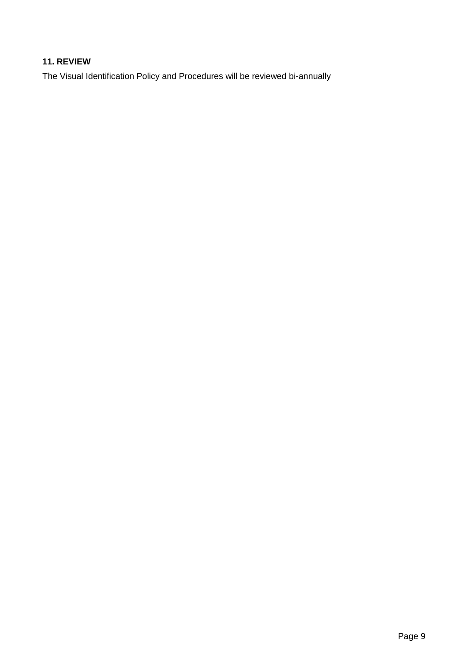# <span id="page-8-0"></span>**11. REVIEW**

The Visual Identification Policy and Procedures will be reviewed bi-annually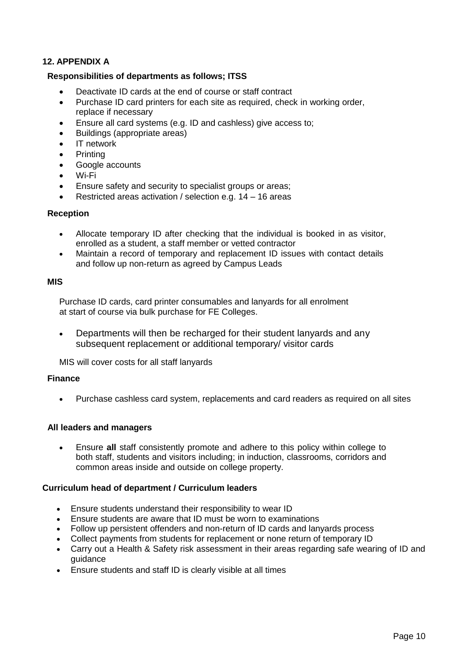# <span id="page-9-0"></span>**12. APPENDIX A**

#### <span id="page-9-1"></span> **Responsibilities of departments as follows; ITSS**

- Deactivate ID cards at the end of course or staff contract
- Purchase ID card printers for each site as required, check in working order, replace if necessary
- Ensure all card systems (e.g. ID and cashless) give access to;
- Buildings (appropriate areas)
- IT network
- Printing
- Google accounts
- Wi-Fi
- Ensure safety and security to specialist groups or areas:
- Restricted areas activation / selection e.g. 14 16 areas

#### **Reception**

- Allocate temporary ID after checking that the individual is booked in as visitor, enrolled as a student, a staff member or vetted contractor
- Maintain a record of temporary and replacement ID issues with contact details and follow up non-return as agreed by Campus Leads

#### **MIS**

Purchase ID cards, card printer consumables and lanyards for all enrolment at start of course via bulk purchase for FE Colleges.

• Departments will then be recharged for their student lanyards and any subsequent replacement or additional temporary/ visitor cards

MIS will cover costs for all staff lanyards

#### **Finance**

• Purchase cashless card system, replacements and card readers as required on all sites

#### **All leaders and managers**

• Ensure **all** staff consistently promote and adhere to this policy within college to both staff, students and visitors including; in induction, classrooms, corridors and common areas inside and outside on college property.

#### **Curriculum head of department / Curriculum leaders**

- Ensure students understand their responsibility to wear ID
- Ensure students are aware that ID must be worn to examinations
- Follow up persistent offenders and non-return of ID cards and lanyards process
- Collect payments from students for replacement or none return of temporary ID
- Carry out a Health & Safety risk assessment in their areas regarding safe wearing of ID and guidance
- Ensure students and staff ID is clearly visible at all times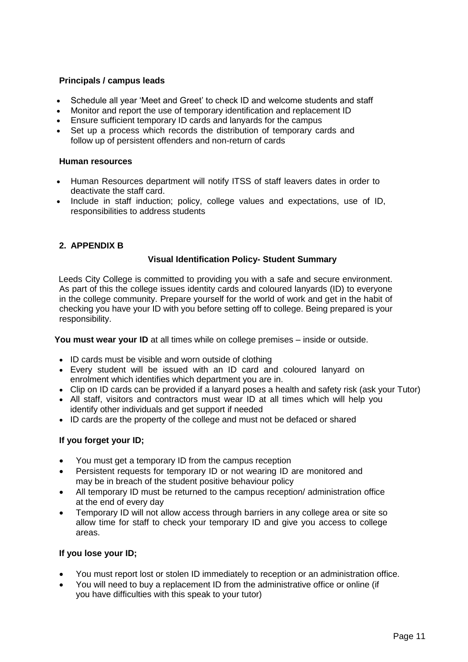# **Principals / campus leads**

- Schedule all year 'Meet and Greet' to check ID and welcome students and staff
- Monitor and report the use of temporary identification and replacement ID
- Ensure sufficient temporary ID cards and lanyards for the campus
- Set up a process which records the distribution of temporary cards and follow up of persistent offenders and non-return of cards

#### **Human resources**

- Human Resources department will notify ITSS of staff leavers dates in order to deactivate the staff card.
- Include in staff induction; policy, college values and expectations, use of ID, responsibilities to address students

# **2. APPENDIX B**

#### **Visual Identification Policy- Student Summary**

Leeds City College is committed to providing you with a safe and secure environment. As part of this the college issues identity cards and coloured lanyards (ID) to everyone in the college community. Prepare yourself for the world of work and get in the habit of checking you have your ID with you before setting off to college. Being prepared is your responsibility.

 **You must wear your ID** at all times while on college premises – inside or outside.

- ID cards must be visible and worn outside of clothing
- Every student will be issued with an ID card and coloured lanyard on enrolment which identifies which department you are in.
- Clip on ID cards can be provided if a lanyard poses a health and safety risk (ask your Tutor)
- All staff, visitors and contractors must wear ID at all times which will help you identify other individuals and get support if needed
- ID cards are the property of the college and must not be defaced or shared

#### **If you forget your ID;**

- You must get a temporary ID from the campus reception
- Persistent requests for temporary ID or not wearing ID are monitored and may be in breach of the student positive behaviour policy
- All temporary ID must be returned to the campus reception/ administration office at the end of every day
- Temporary ID will not allow access through barriers in any college area or site so allow time for staff to check your temporary ID and give you access to college areas.

#### **If you lose your ID;**

- You must report lost or stolen ID immediately to reception or an administration office.
- You will need to buy a replacement ID from the administrative office or online (if you have difficulties with this speak to your tutor)